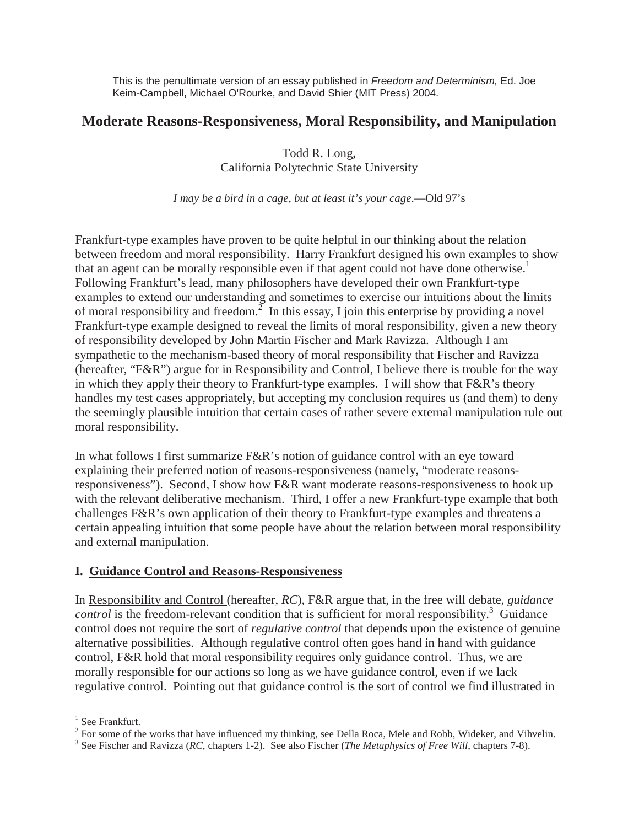This is the penultimate version of an essay published in *Freedom and Determinism,* Ed. Joe Keim-Campbell, Michael O'Rourke, and David Shier (MIT Press) 2004.

# **Moderate Reasons-Responsiveness, Moral Responsibility, and Manipulation**

Todd R. Long, California Polytechnic State University

*I may be a bird in a cage, but at least it's your cage*.—Old 97's

Frankfurt-type examples have proven to be quite helpful in our thinking about the relation between freedom and moral responsibility. Harry Frankfurt designed his own examples to show that an agent can be morally responsible even if that agent could not have done otherwise.<sup>1</sup> Following Frankfurt's lead, many philosophers have developed their own Frankfurt-type examples to extend our understanding and sometimes to exercise our intuitions about the limits of moral responsibility and freedom.<sup>2</sup> In this essay, I join this enterprise by providing a novel Frankfurt-type example designed to reveal the limits of moral responsibility, given a new theory of responsibility developed by John Martin Fischer and Mark Ravizza. Although I am sympathetic to the mechanism-based theory of moral responsibility that Fischer and Ravizza (hereafter, "F&R") argue for in Responsibility and Control, I believe there is trouble for the way in which they apply their theory to Frankfurt-type examples. I will show that F&R's theory handles my test cases appropriately, but accepting my conclusion requires us (and them) to deny the seemingly plausible intuition that certain cases of rather severe external manipulation rule out moral responsibility.

In what follows I first summarize F&R's notion of guidance control with an eye toward explaining their preferred notion of reasons-responsiveness (namely, "moderate reasonsresponsiveness"). Second, I show how F&R want moderate reasons-responsiveness to hook up with the relevant deliberative mechanism. Third, I offer a new Frankfurt-type example that both challenges F&R's own application of their theory to Frankfurt-type examples and threatens a certain appealing intuition that some people have about the relation between moral responsibility and external manipulation.

# **I. Guidance Control and Reasons-Responsiveness**

In Responsibility and Control (hereafter, *RC*), F&R argue that, in the free will debate, *guidance control* is the freedom-relevant condition that is sufficient for moral responsibility.<sup>3</sup> Guidance control does not require the sort of *regulative control* that depends upon the existence of genuine alternative possibilities. Although regulative control often goes hand in hand with guidance control, F&R hold that moral responsibility requires only guidance control. Thus, we are morally responsible for our actions so long as we have guidance control, even if we lack regulative control. Pointing out that guidance control is the sort of control we find illustrated in

 $\overline{a}$ 

 $<sup>1</sup>$  See Frankfurt.</sup>

 $2^2$  For some of the works that have influenced my thinking, see Della Roca, Mele and Robb, Wideker, and Vihvelin.

3 See Fischer and Ravizza (*RC*, chapters 1-2). See also Fischer (*The Metaphysics of Free Will*, chapters 7-8).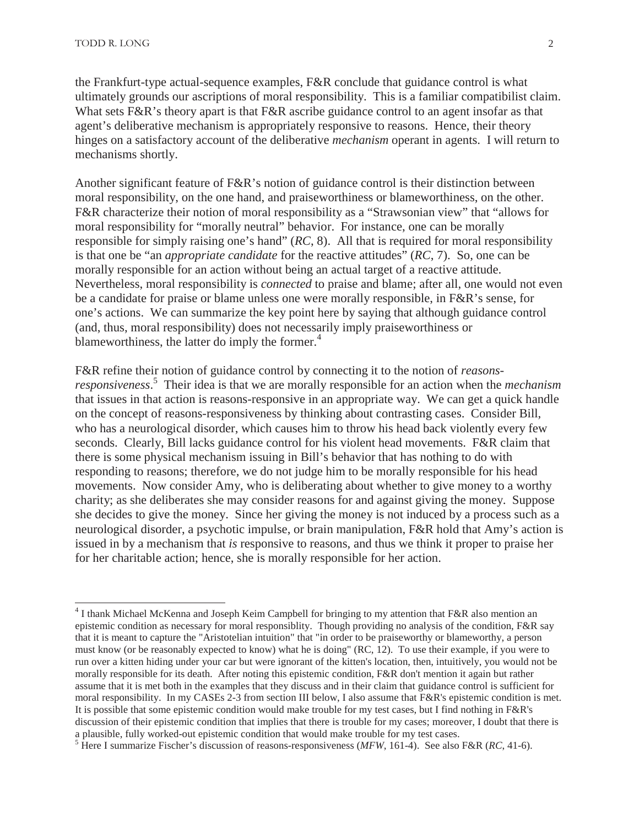$\overline{\phantom{a}}$ 

the Frankfurt-type actual-sequence examples, F&R conclude that guidance control is what ultimately grounds our ascriptions of moral responsibility. This is a familiar compatibilist claim. What sets F&R's theory apart is that F&R ascribe guidance control to an agent insofar as that agent's deliberative mechanism is appropriately responsive to reasons. Hence, their theory hinges on a satisfactory account of the deliberative *mechanism* operant in agents. I will return to mechanisms shortly.

Another significant feature of F&R's notion of guidance control is their distinction between moral responsibility, on the one hand, and praiseworthiness or blameworthiness, on the other. F&R characterize their notion of moral responsibility as a "Strawsonian view" that "allows for moral responsibility for "morally neutral" behavior. For instance, one can be morally responsible for simply raising one's hand" (*RC*, 8). All that is required for moral responsibility is that one be "an *appropriate candidate* for the reactive attitudes" (*RC*, 7). So, one can be morally responsible for an action without being an actual target of a reactive attitude. Nevertheless, moral responsibility is *connected* to praise and blame; after all, one would not even be a candidate for praise or blame unless one were morally responsible, in F&R's sense, for one's actions. We can summarize the key point here by saying that although guidance control (and, thus, moral responsibility) does not necessarily imply praiseworthiness or blameworthiness, the latter do imply the former.<sup>4</sup>

F&R refine their notion of guidance control by connecting it to the notion of *reasonsresponsiveness*. 5 Their idea is that we are morally responsible for an action when the *mechanism*  that issues in that action is reasons-responsive in an appropriate way. We can get a quick handle on the concept of reasons-responsiveness by thinking about contrasting cases. Consider Bill, who has a neurological disorder, which causes him to throw his head back violently every few seconds. Clearly, Bill lacks guidance control for his violent head movements. F&R claim that there is some physical mechanism issuing in Bill's behavior that has nothing to do with responding to reasons; therefore, we do not judge him to be morally responsible for his head movements. Now consider Amy, who is deliberating about whether to give money to a worthy charity; as she deliberates she may consider reasons for and against giving the money. Suppose she decides to give the money. Since her giving the money is not induced by a process such as a neurological disorder, a psychotic impulse, or brain manipulation, F&R hold that Amy's action is issued in by a mechanism that *is* responsive to reasons, and thus we think it proper to praise her for her charitable action; hence, she is morally responsible for her action.

<sup>&</sup>lt;sup>4</sup> I thank Michael McKenna and Joseph Keim Campbell for bringing to my attention that F&R also mention an must know (or be reasonably expected to know) what he is doing" (RC, 12). To use their example, if you were to run over a kitten hiding under your car but were ignorant of the kitten's location, then, intuitively, you would not be morally responsible for its death. After noting this epistemic condition, F&R don't mention it again but rather moral responsibility. In my CASEs 2-3 from section III below, I also assume that F&R's epistemic condition is met. It is possible that some epistemic condition would make trouble for my test cases, but I find nothing in F&R's epistemic condition as necessary for moral responsiblity. Though providing no analysis of the condition, F&R say that it is meant to capture the "Aristotelian intuition" that "in order to be praiseworthy or blameworthy, a person assume that it is met both in the examples that they discuss and in their claim that guidance control is sufficient for discussion of their epistemic condition that implies that there is trouble for my cases; moreover, I doubt that there is a plausible, fully worked-out epistemic condition that would make trouble for my test cases.

<sup>5</sup> Here I summarize Fischer's discussion of reasons-responsiveness (*MFW*, 161-4). See also F&R (*RC*, 41-6).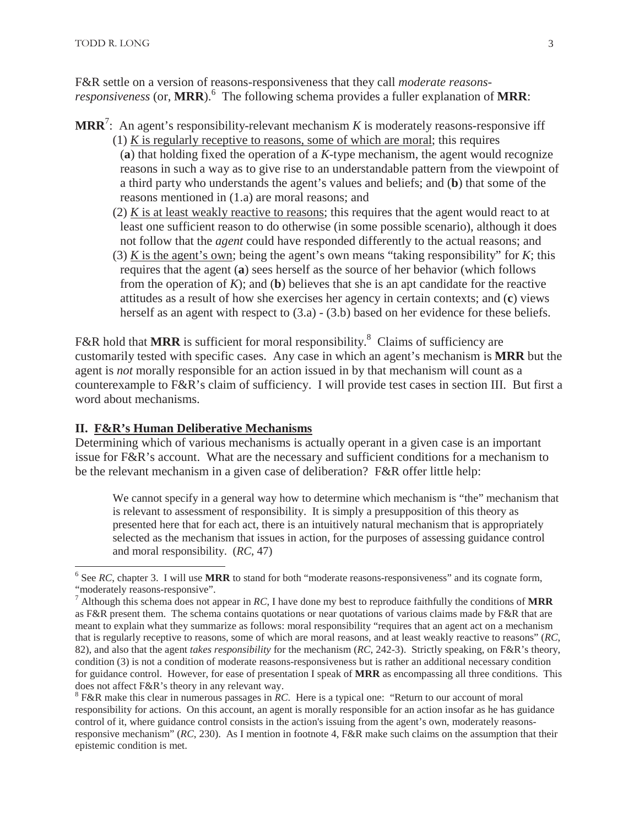F&R settle on a version of reasons-responsiveness that they call *moderate reasonsresponsiveness* (or, **MRR**).6 The following schema provides a fuller explanation of **MRR**:

- **MRR**<sup>7</sup>: An agent's responsibility-relevant mechanism *K* is moderately reasons-responsive iff (1) *K* is regularly receptive to reasons, some of which are moral; this requires (**a**) that holding fixed the operation of a *K*-type mechanism, the agent would recognize reasons in such a way as to give rise to an understandable pattern from the viewpoint of a third party who understands the agent's values and beliefs; and (**b**) that some of the reasons mentioned in (1.a) are moral reasons; and
	- (2) *K* is at least weakly reactive to reasons; this requires that the agent would react to at least one sufficient reason to do otherwise (in some possible scenario), although it does not follow that the *agent* could have responded differently to the actual reasons; and
	- (3) *K* is the agent's own; being the agent's own means "taking responsibility" for *K*; this requires that the agent (**a**) sees herself as the source of her behavior (which follows from the operation of  $K$ ); and  $(b)$  believes that she is an apt candidate for the reactive attitudes as a result of how she exercises her agency in certain contexts; and (**c**) views herself as an agent with respect to  $(3.a) - (3.b)$  based on her evidence for these beliefs.

F&R hold that **MRR** is sufficient for moral responsibility.<sup>8</sup> Claims of sufficiency are customarily tested with specific cases. Any case in which an agent's mechanism is **MRR** but the agent is *not* morally responsible for an action issued in by that mechanism will count as a counterexample to F&R's claim of sufficiency. I will provide test cases in section III. But first a word about mechanisms.

#### **II. F&R's Human Deliberative Mechanisms**

Determining which of various mechanisms is actually operant in a given case is an important issue for F&R's account. What are the necessary and sufficient conditions for a mechanism to be the relevant mechanism in a given case of deliberation? F&R offer little help:

We cannot specify in a general way how to determine which mechanism is "the" mechanism that is relevant to assessment of responsibility. It is simply a presupposition of this theory as presented here that for each act, there is an intuitively natural mechanism that is appropriately selected as the mechanism that issues in action, for the purposes of assessing guidance control and moral responsibility. (*RC*, 47)

<sup>&</sup>lt;sup>6</sup> See *RC*, chapter 3. I will use **MRR** to stand for both "moderate reasons-responsiveness" and its cognate form, "moderately reasons-responsive".

 meant to explain what they summarize as follows: moral responsibility "requires that an agent act on a mechanism 7 Although this schema does not appear in *RC*, I have done my best to reproduce faithfully the conditions of **MRR**  as F&R present them. The schema contains quotations or near quotations of various claims made by F&R that are that is regularly receptive to reasons, some of which are moral reasons, and at least weakly reactive to reasons" (*RC*, 82), and also that the agent *takes responsibility* for the mechanism (*RC*, 242-3). Strictly speaking, on F&R's theory, condition (3) is not a condition of moderate reasons-responsiveness but is rather an additional necessary condition for guidance control. However, for ease of presentation I speak of **MRR** as encompassing all three conditions. This does not affect F&R's theory in any relevant way.

 responsive mechanism" (*RC*, 230). As I mention in footnote 4, F&R make such claims on the assumption that their 8 F&R make this clear in numerous passages in *RC*. Here is a typical one: "Return to our account of moral responsibility for actions. On this account, an agent is morally responsible for an action insofar as he has guidance control of it, where guidance control consists in the action's issuing from the agent's own, moderately reasonsepistemic condition is met.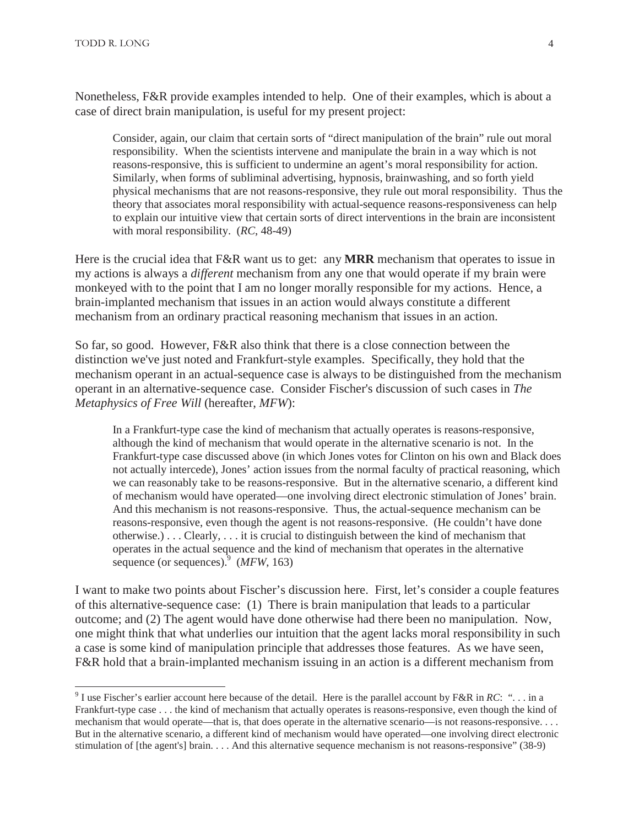$\overline{\phantom{a}}$ 

Nonetheless, F&R provide examples intended to help. One of their examples, which is about a case of direct brain manipulation, is useful for my present project:

 reasons-responsive, this is sufficient to undermine an agent's moral responsibility for action. to explain our intuitive view that certain sorts of direct interventions in the brain are inconsistent Consider, again, our claim that certain sorts of "direct manipulation of the brain" rule out moral responsibility. When the scientists intervene and manipulate the brain in a way which is not Similarly, when forms of subliminal advertising, hypnosis, brainwashing, and so forth yield physical mechanisms that are not reasons-responsive, they rule out moral responsibility. Thus the theory that associates moral responsibility with actual-sequence reasons-responsiveness can help with moral responsibility. (*RC*, 48-49)

Here is the crucial idea that F&R want us to get: any **MRR** mechanism that operates to issue in my actions is always a *different* mechanism from any one that would operate if my brain were monkeyed with to the point that I am no longer morally responsible for my actions. Hence, a brain-implanted mechanism that issues in an action would always constitute a different mechanism from an ordinary practical reasoning mechanism that issues in an action.

So far, so good. However, F&R also think that there is a close connection between the distinction we've just noted and Frankfurt-style examples. Specifically, they hold that the mechanism operant in an actual-sequence case is always to be distinguished from the mechanism operant in an alternative-sequence case. Consider Fischer's discussion of such cases in *The Metaphysics of Free Will* (hereafter, *MFW*):

In a Frankfurt-type case the kind of mechanism that actually operates is reasons-responsive, although the kind of mechanism that would operate in the alternative scenario is not. In the Frankfurt-type case discussed above (in which Jones votes for Clinton on his own and Black does not actually intercede), Jones' action issues from the normal faculty of practical reasoning, which we can reasonably take to be reasons-responsive. But in the alternative scenario, a different kind of mechanism would have operated—one involving direct electronic stimulation of Jones' brain. And this mechanism is not reasons-responsive. Thus, the actual-sequence mechanism can be reasons-responsive, even though the agent is not reasons-responsive. (He couldn't have done otherwise.) . . . Clearly, . . . it is crucial to distinguish between the kind of mechanism that operates in the actual sequence and the kind of mechanism that operates in the alternative sequence (or sequences).<sup>9</sup> (*MFW*, 163)

I want to make two points about Fischer's discussion here. First, let's consider a couple features of this alternative-sequence case: (1) There is brain manipulation that leads to a particular outcome; and (2) The agent would have done otherwise had there been no manipulation. Now, one might think that what underlies our intuition that the agent lacks moral responsibility in such a case is some kind of manipulation principle that addresses those features. As we have seen, F&R hold that a brain-implanted mechanism issuing in an action is a different mechanism from

<sup>&</sup>lt;sup>9</sup> I use Fischer's earlier account here because of the detail. Here is the parallel account by F&R in  $RC:$  "... in a Frankfurt-type case . . . the kind of mechanism that actually operates is reasons-responsive, even though the kind of mechanism that would operate—that is, that does operate in the alternative scenario—is not reasons-responsive. . . . But in the alternative scenario, a different kind of mechanism would have operated—one involving direct electronic stimulation of [the agent's] brain. . . . And this alternative sequence mechanism is not reasons-responsive" (38-9)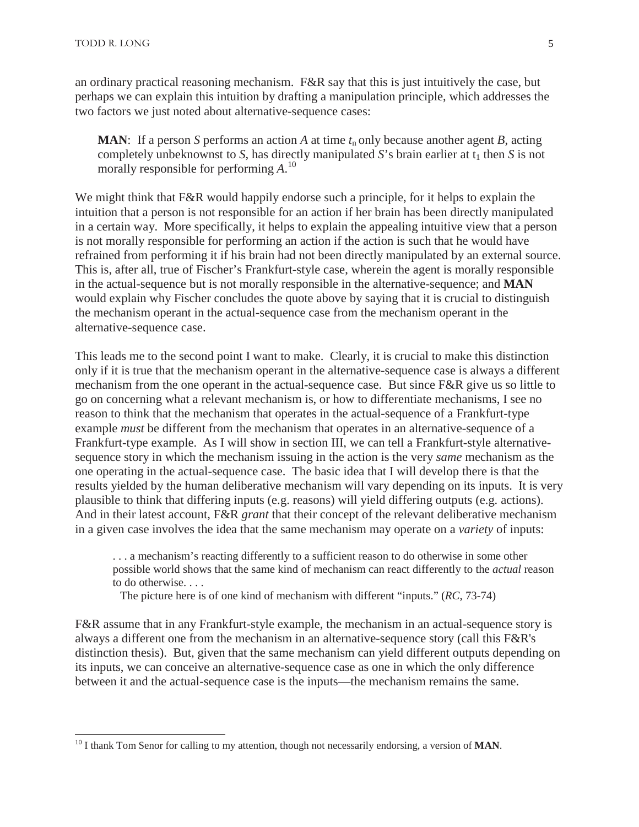an ordinary practical reasoning mechanism. F&R say that this is just intuitively the case, but perhaps we can explain this intuition by drafting a manipulation principle, which addresses the two factors we just noted about alternative-sequence cases:

**MAN**: If a person *S* performs an action *A* at time  $t_n$  only because another agent *B*, acting completely unbeknownst to *S*, has directly manipulated *S*'s brain earlier at  $t_1$  then *S* is not morally responsible for performing *A*. 10

We might think that F&R would happily endorse such a principle, for it helps to explain the intuition that a person is not responsible for an action if her brain has been directly manipulated in a certain way. More specifically, it helps to explain the appealing intuitive view that a person is not morally responsible for performing an action if the action is such that he would have refrained from performing it if his brain had not been directly manipulated by an external source. This is, after all, true of Fischer's Frankfurt-style case, wherein the agent is morally responsible in the actual-sequence but is not morally responsible in the alternative-sequence; and **MAN**  would explain why Fischer concludes the quote above by saying that it is crucial to distinguish the mechanism operant in the actual-sequence case from the mechanism operant in the alternative-sequence case.

 mechanism from the one operant in the actual-sequence case. But since F&R give us so little to example *must* be different from the mechanism that operates in an alternative-sequence of a This leads me to the second point I want to make. Clearly, it is crucial to make this distinction only if it is true that the mechanism operant in the alternative-sequence case is always a different go on concerning what a relevant mechanism is, or how to differentiate mechanisms, I see no reason to think that the mechanism that operates in the actual-sequence of a Frankfurt-type Frankfurt-type example. As I will show in section III, we can tell a Frankfurt-style alternativesequence story in which the mechanism issuing in the action is the very *same* mechanism as the one operating in the actual-sequence case. The basic idea that I will develop there is that the results yielded by the human deliberative mechanism will vary depending on its inputs. It is very plausible to think that differing inputs (e.g. reasons) will yield differing outputs (e.g. actions). And in their latest account, F&R *grant* that their concept of the relevant deliberative mechanism in a given case involves the idea that the same mechanism may operate on a *variety* of inputs:

. . . a mechanism's reacting differently to a sufficient reason to do otherwise in some other possible world shows that the same kind of mechanism can react differently to the *actual* reason to do otherwise. . . .

The picture here is of one kind of mechanism with different "inputs." (*RC*, 73-74)

F&R assume that in any Frankfurt-style example, the mechanism in an actual-sequence story is always a different one from the mechanism in an alternative-sequence story (call this F&R's distinction thesis). But, given that the same mechanism can yield different outputs depending on its inputs, we can conceive an alternative-sequence case as one in which the only difference between it and the actual-sequence case is the inputs—the mechanism remains the same.

<sup>&</sup>lt;sup>10</sup> I thank Tom Senor for calling to my attention, though not necessarily endorsing, a version of MAN.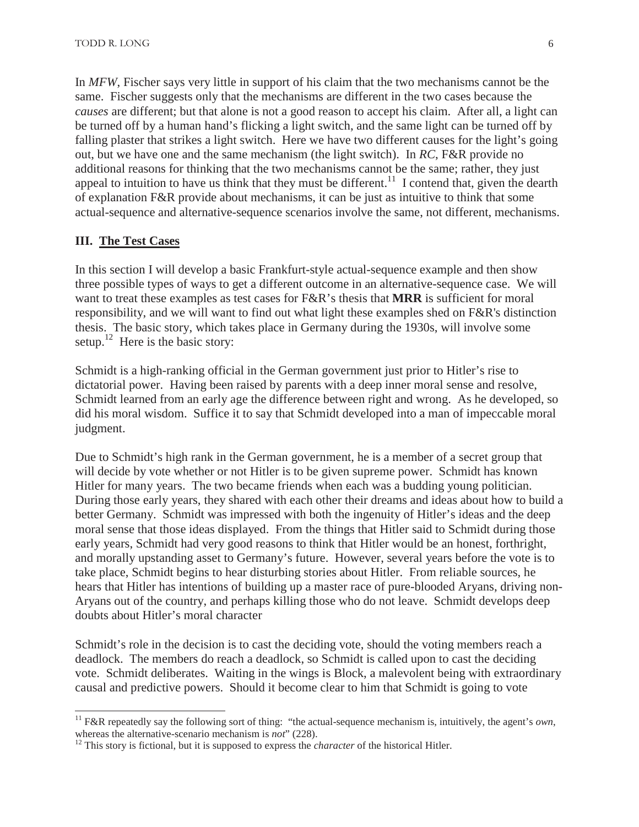falling plaster that strikes a light switch. Here we have two different causes for the light's going In *MFW*, Fischer says very little in support of his claim that the two mechanisms cannot be the same. Fischer suggests only that the mechanisms are different in the two cases because the *causes* are different; but that alone is not a good reason to accept his claim. After all, a light can be turned off by a human hand's flicking a light switch, and the same light can be turned off by out, but we have one and the same mechanism (the light switch). In *RC*, F&R provide no additional reasons for thinking that the two mechanisms cannot be the same; rather, they just appeal to intuition to have us think that they must be different.<sup>11</sup> I contend that, given the dearth of explanation F&R provide about mechanisms, it can be just as intuitive to think that some actual-sequence and alternative-sequence scenarios involve the same, not different, mechanisms.

### **III. The Test Cases**

 $\overline{a}$ 

setup.<sup>12</sup> Here is the basic story: In this section I will develop a basic Frankfurt-style actual-sequence example and then show three possible types of ways to get a different outcome in an alternative-sequence case. We will want to treat these examples as test cases for F&R's thesis that **MRR** is sufficient for moral responsibility, and we will want to find out what light these examples shed on F&R's distinction thesis. The basic story, which takes place in Germany during the 1930s, will involve some

 Schmidt learned from an early age the difference between right and wrong. As he developed, so Schmidt is a high-ranking official in the German government just prior to Hitler's rise to dictatorial power. Having been raised by parents with a deep inner moral sense and resolve, did his moral wisdom. Suffice it to say that Schmidt developed into a man of impeccable moral judgment.

Due to Schmidt's high rank in the German government, he is a member of a secret group that will decide by vote whether or not Hitler is to be given supreme power. Schmidt has known Hitler for many years. The two became friends when each was a budding young politician. During those early years, they shared with each other their dreams and ideas about how to build a better Germany. Schmidt was impressed with both the ingenuity of Hitler's ideas and the deep moral sense that those ideas displayed. From the things that Hitler said to Schmidt during those early years, Schmidt had very good reasons to think that Hitler would be an honest, forthright, and morally upstanding asset to Germany's future. However, several years before the vote is to take place, Schmidt begins to hear disturbing stories about Hitler. From reliable sources, he hears that Hitler has intentions of building up a master race of pure-blooded Aryans, driving non-Aryans out of the country, and perhaps killing those who do not leave. Schmidt develops deep doubts about Hitler's moral character

Schmidt's role in the decision is to cast the deciding vote, should the voting members reach a deadlock. The members do reach a deadlock, so Schmidt is called upon to cast the deciding vote. Schmidt deliberates. Waiting in the wings is Block, a malevolent being with extraordinary causal and predictive powers. Should it become clear to him that Schmidt is going to vote

<sup>&</sup>lt;sup>11</sup> F&R repeatedly say the following sort of thing: "the actual-sequence mechanism is, intuitively, the agent's  $own$ , whereas the alternative-scenario mechanism is *not*" (228).

12 This story is fictional, but it is supposed to express the *character* of the historical Hitler.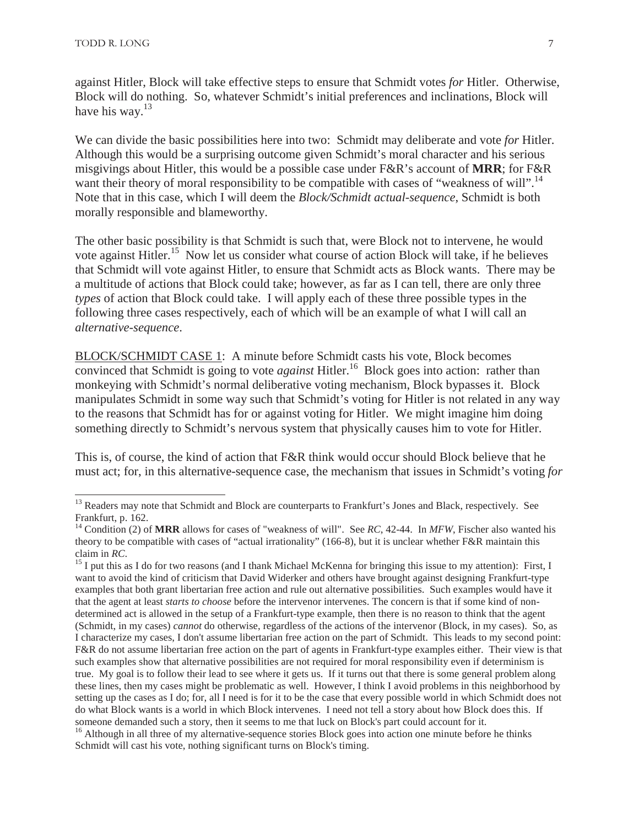against Hitler, Block will take effective steps to ensure that Schmidt votes *for* Hitler. Otherwise, Block will do nothing. So, whatever Schmidt's initial preferences and inclinations, Block will have his way. $13$ 

We can divide the basic possibilities here into two: Schmidt may deliberate and vote for Hitler. Although this would be a surprising outcome given Schmidt's moral character and his serious misgivings about Hitler, this would be a possible case under F&R's account of **MRR**; for F&R want their theory of moral responsibility to be compatible with cases of "weakness of will".<sup>14</sup> Note that in this case, which I will deem the *Block/Schmidt actual-sequence*, Schmidt is both morally responsible and blameworthy.

 following three cases respectively, each of which will be an example of what I will call an The other basic possibility is that Schmidt is such that, were Block not to intervene, he would vote against Hitler.<sup>15</sup> Now let us consider what course of action Block will take, if he believes that Schmidt will vote against Hitler, to ensure that Schmidt acts as Block wants. There may be a multitude of actions that Block could take; however, as far as I can tell, there are only three *types* of action that Block could take. I will apply each of these three possible types in the *alternative-sequence*.

BLOCK/SCHMIDT CASE 1: A minute before Schmidt casts his vote, Block becomes convinced that Schmidt is going to vote *against* Hitler.<sup>16</sup> Block goes into action: rather than monkeying with Schmidt's normal deliberative voting mechanism, Block bypasses it. Block manipulates Schmidt in some way such that Schmidt's voting for Hitler is not related in any way to the reasons that Schmidt has for or against voting for Hitler. We might imagine him doing something directly to Schmidt's nervous system that physically causes him to vote for Hitler.

This is, of course, the kind of action that F&R think would occur should Block believe that he must act; for, in this alternative-sequence case, the mechanism that issues in Schmidt's voting *for* 

<sup>&</sup>lt;sup>13</sup> Readers may note that Schmidt and Block are counterparts to Frankfurt's Jones and Black, respectively. See Frankfurt, p. 162.

<sup>&</sup>lt;sup>14</sup> Condition (2) of MRR allows for cases of "weakness of will". See *RC*, 42-44. In *MFW*, Fischer also wanted his theory to be compatible with cases of "actual irrationality" (166-8), but it is unclear whether F&R maintain this claim in *RC*.<br><sup>15</sup> I put this as I do for two reasons (and I thank Michael McKenna for bringing this issue to my attention): First, I

 (Schmidt, in my cases) *cannot* do otherwise, regardless of the actions of the intervenor (Block, in my cases). So, as these lines, then my cases might be problematic as well. However, I think I avoid problems in this neighborhood by want to avoid the kind of criticism that David Widerker and others have brought against designing Frankfurt-type examples that both grant libertarian free action and rule out alternative possibilities. Such examples would have it that the agent at least *starts to choose* before the intervenor intervenes. The concern is that if some kind of nondetermined act is allowed in the setup of a Frankfurt-type example, then there is no reason to think that the agent I characterize my cases, I don't assume libertarian free action on the part of Schmidt. This leads to my second point: F&R do not assume libertarian free action on the part of agents in Frankfurt-type examples either. Their view is that such examples show that alternative possibilities are not required for moral responsibility even if determinism is true. My goal is to follow their lead to see where it gets us. If it turns out that there is some general problem along setting up the cases as I do; for, all I need is for it to be the case that every possible world in which Schmidt does not do what Block wants is a world in which Block intervenes. I need not tell a story about how Block does this. If someone demanded such a story, then it seems to me that luck on Block's part could account for it.

<sup>&</sup>lt;sup>16</sup> Although in all three of my alternative-sequence stories Block goes into action one minute before he thinks Schmidt will cast his vote, nothing significant turns on Block's timing.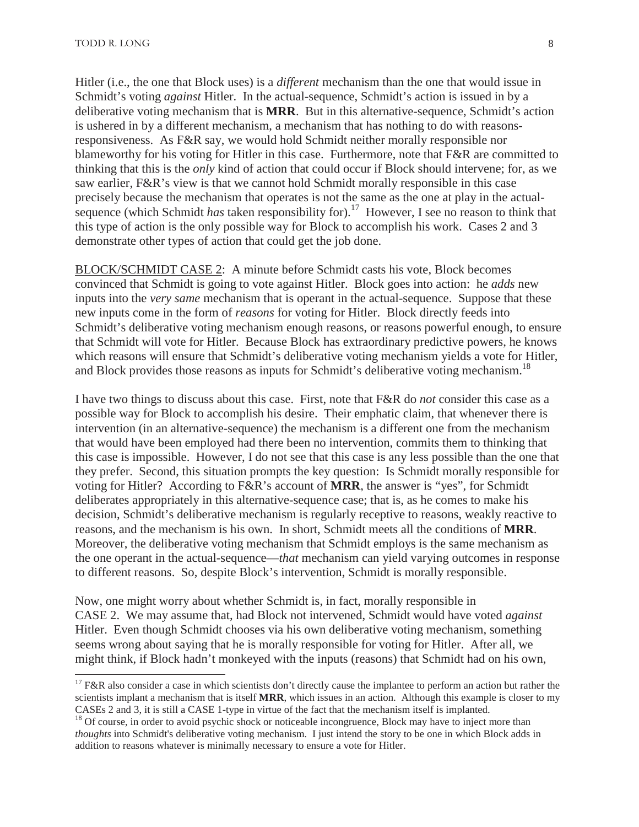$\overline{\phantom{a}}$ 

 Schmidt's voting *against* Hitler. In the actual-sequence, Schmidt's action is issued in by a Hitler (i.e., the one that Block uses) is a *different* mechanism than the one that would issue in deliberative voting mechanism that is **MRR**. But in this alternative-sequence, Schmidt's action is ushered in by a different mechanism, a mechanism that has nothing to do with reasonsresponsiveness. As F&R say, we would hold Schmidt neither morally responsible nor blameworthy for his voting for Hitler in this case. Furthermore, note that F&R are committed to thinking that this is the *only* kind of action that could occur if Block should intervene; for, as we saw earlier, F&R's view is that we cannot hold Schmidt morally responsible in this case precisely because the mechanism that operates is not the same as the one at play in the actualsequence (which Schmidt *has* taken responsibility for).<sup>17</sup> However, I see no reason to think that this type of action is the only possible way for Block to accomplish his work. Cases 2 and 3 demonstrate other types of action that could get the job done.

 new inputs come in the form of *reasons* for voting for Hitler. Block directly feeds into which reasons will ensure that Schmidt's deliberative voting mechanism yields a vote for Hitler, BLOCK/SCHMIDT CASE 2: A minute before Schmidt casts his vote, Block becomes convinced that Schmidt is going to vote against Hitler. Block goes into action: he *adds* new inputs into the *very same* mechanism that is operant in the actual-sequence. Suppose that these Schmidt's deliberative voting mechanism enough reasons, or reasons powerful enough, to ensure that Schmidt will vote for Hitler. Because Block has extraordinary predictive powers, he knows and Block provides those reasons as inputs for Schmidt's deliberative voting mechanism.<sup>18</sup>

I have two things to discuss about this case. First, note that F&R do *not* consider this case as a possible way for Block to accomplish his desire. Their emphatic claim, that whenever there is intervention (in an alternative-sequence) the mechanism is a different one from the mechanism that would have been employed had there been no intervention, commits them to thinking that this case is impossible. However, I do not see that this case is any less possible than the one that they prefer. Second, this situation prompts the key question: Is Schmidt morally responsible for voting for Hitler? According to F&R's account of **MRR**, the answer is "yes", for Schmidt deliberates appropriately in this alternative-sequence case; that is, as he comes to make his decision, Schmidt's deliberative mechanism is regularly receptive to reasons, weakly reactive to reasons, and the mechanism is his own. In short, Schmidt meets all the conditions of **MRR**. Moreover, the deliberative voting mechanism that Schmidt employs is the same mechanism as the one operant in the actual-sequence—*that* mechanism can yield varying outcomes in response to different reasons. So, despite Block's intervention, Schmidt is morally responsible.

Now, one might worry about whether Schmidt is, in fact, morally responsible in CASE 2. We may assume that, had Block not intervened, Schmidt would have voted *against*  Hitler. Even though Schmidt chooses via his own deliberative voting mechanism, something seems wrong about saying that he is morally responsible for voting for Hitler. After all, we might think, if Block hadn't monkeyed with the inputs (reasons) that Schmidt had on his own,

 scientists implant a mechanism that is itself **MRR**, which issues in an action. Although this example is closer to my <sup>17</sup> F&R also consider a case in which scientists don't directly cause the implantee to perform an action but rather the CASEs 2 and 3, it is still a CASE 1-type in virtue of the fact that the mechanism itself is implanted.

<sup>&</sup>lt;sup>18</sup> Of course, in order to avoid psychic shock or noticeable incongruence, Block may have to inject more than *thoughts* into Schmidt's deliberative voting mechanism. I just intend the story to be one in which Block adds in addition to reasons whatever is minimally necessary to ensure a vote for Hitler.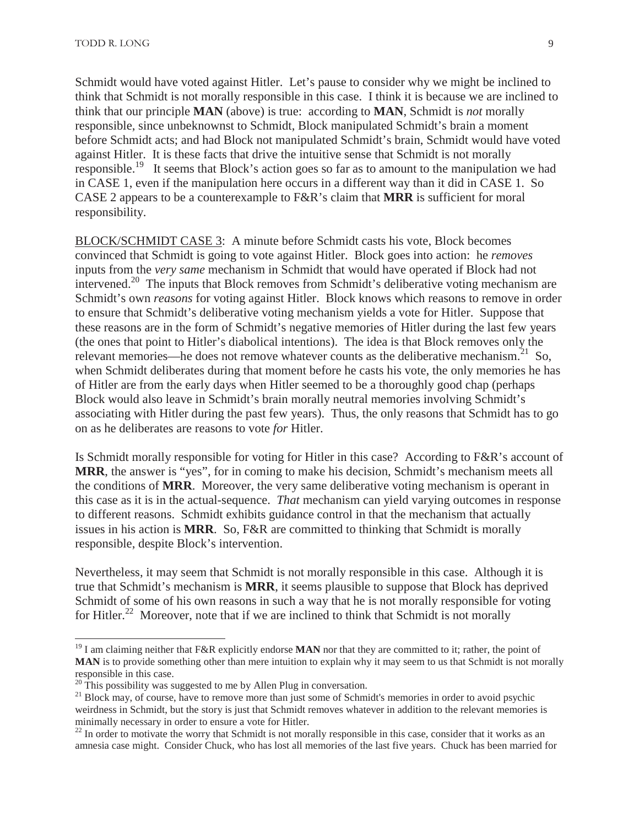Schmidt would have voted against Hitler. Let's pause to consider why we might be inclined to against Hitler. It is these facts that drive the intuitive sense that Schmidt is not morally think that Schmidt is not morally responsible in this case. I think it is because we are inclined to think that our principle **MAN** (above) is true: according to **MAN**, Schmidt is *not* morally responsible, since unbeknownst to Schmidt, Block manipulated Schmidt's brain a moment before Schmidt acts; and had Block not manipulated Schmidt's brain, Schmidt would have voted responsible.19 It seems that Block's action goes so far as to amount to the manipulation we had in CASE 1, even if the manipulation here occurs in a different way than it did in CASE 1. So CASE 2 appears to be a counterexample to F&R's claim that **MRR** is sufficient for moral responsibility.

on as he deliberates are reasons to vote for Hitler. BLOCK/SCHMIDT CASE 3: A minute before Schmidt casts his vote, Block becomes convinced that Schmidt is going to vote against Hitler. Block goes into action: he *removes*  inputs from the *very same* mechanism in Schmidt that would have operated if Block had not intervened.<sup>20</sup> The inputs that Block removes from Schmidt's deliberative voting mechanism are Schmidt's own *reasons* for voting against Hitler. Block knows which reasons to remove in order to ensure that Schmidt's deliberative voting mechanism yields a vote for Hitler. Suppose that these reasons are in the form of Schmidt's negative memories of Hitler during the last few years (the ones that point to Hitler's diabolical intentions). The idea is that Block removes only the relevant memories—he does not remove whatever counts as the deliberative mechanism.<sup>21</sup> So, when Schmidt deliberates during that moment before he casts his vote, the only memories he has of Hitler are from the early days when Hitler seemed to be a thoroughly good chap (perhaps Block would also leave in Schmidt's brain morally neutral memories involving Schmidt's associating with Hitler during the past few years). Thus, the only reasons that Schmidt has to go

Is Schmidt morally responsible for voting for Hitler in this case? According to F&R's account of **MRR**, the answer is "yes", for in coming to make his decision, Schmidt's mechanism meets all the conditions of **MRR**. Moreover, the very same deliberative voting mechanism is operant in this case as it is in the actual-sequence. *That* mechanism can yield varying outcomes in response to different reasons. Schmidt exhibits guidance control in that the mechanism that actually issues in his action is **MRR**. So, F&R are committed to thinking that Schmidt is morally responsible, despite Block's intervention.

Nevertheless, it may seem that Schmidt is not morally responsible in this case. Although it is true that Schmidt's mechanism is **MRR**, it seems plausible to suppose that Block has deprived Schmidt of some of his own reasons in such a way that he is not morally responsible for voting for Hitler.<sup>22</sup> Moreover, note that if we are inclined to think that Schmidt is not morally

 $\overline{a}$ 

<sup>&</sup>lt;sup>19</sup> I am claiming neither that F&R explicitly endorse MAN nor that they are committed to it; rather, the point of **MAN** is to provide something other than mere intuition to explain why it may seem to us that Schmidt is not morally responsible in this case.<br><sup>20</sup> This possibility was suggested to me by Allen Plug in conversation.

<sup>&</sup>lt;sup>20</sup> This possibility was suggested to me by Allen Plug in conversation.<br><sup>21</sup> Block may, of course, have to remove more than just some of Schmidt's memories in order to avoid psychic weirdness in Schmidt, but the story is just that Schmidt removes whatever in addition to the relevant memories is minimally necessary in order to ensure a vote for Hitler.

 amnesia case might. Consider Chuck, who has lost all memories of the last five years. Chuck has been married for  $^{22}$  In order to motivate the worry that Schmidt is not morally responsible in this case, consider that it works as an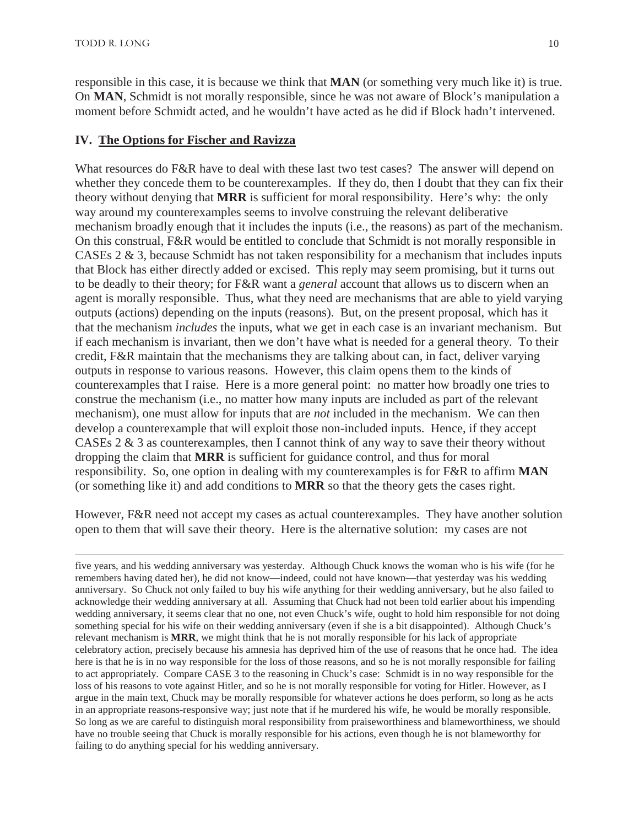responsible in this case, it is because we think that **MAN** (or something very much like it) is true. On **MAN**, Schmidt is not morally responsible, since he was not aware of Block's manipulation a moment before Schmidt acted, and he wouldn't have acted as he did if Block hadn't intervened.

## **IV. The Options for Fischer and Ravizza**

What resources do F&R have to deal with these last two test cases? The answer will depend on whether they concede them to be counterexamples. If they do, then I doubt that they can fix their theory without denying that **MRR** is sufficient for moral responsibility. Here's why: the only way around my counterexamples seems to involve construing the relevant deliberative mechanism broadly enough that it includes the inputs (i.e., the reasons) as part of the mechanism. On this construal, F&R would be entitled to conclude that Schmidt is not morally responsible in CASEs  $2 \& 3$ , because Schmidt has not taken responsibility for a mechanism that includes inputs that Block has either directly added or excised. This reply may seem promising, but it turns out to be deadly to their theory; for F&R want a *general* account that allows us to discern when an agent is morally responsible. Thus, what they need are mechanisms that are able to yield varying outputs (actions) depending on the inputs (reasons). But, on the present proposal, which has it that the mechanism *includes* the inputs, what we get in each case is an invariant mechanism. But if each mechanism is invariant, then we don't have what is needed for a general theory. To their credit, F&R maintain that the mechanisms they are talking about can, in fact, deliver varying outputs in response to various reasons. However, this claim opens them to the kinds of counterexamples that I raise. Here is a more general point: no matter how broadly one tries to construe the mechanism (i.e., no matter how many inputs are included as part of the relevant mechanism), one must allow for inputs that are *not* included in the mechanism. We can then develop a counterexample that will exploit those non-included inputs. Hence, if they accept CASEs 2 & 3 as counterexamples, then I cannot think of any way to save their theory without dropping the claim that **MRR** is sufficient for guidance control, and thus for moral responsibility. So, one option in dealing with my counterexamples is for F&R to affirm **MAN**  (or something like it) and add conditions to **MRR** so that the theory gets the cases right.

However, F&R need not accept my cases as actual counterexamples. They have another solution open to them that will save their theory. Here is the alternative solution: my cases are not

 five years, and his wedding anniversary was yesterday. Although Chuck knows the woman who is his wife (for he remembers having dated her), he did not know—indeed, could not have known—that yesterday was his wedding anniversary. So Chuck not only failed to buy his wife anything for their wedding anniversary, but he also failed to acknowledge their wedding anniversary at all. Assuming that Chuck had not been told earlier about his impending wedding anniversary, it seems clear that no one, not even Chuck's wife, ought to hold him responsible for not doing relevant mechanism is **MRR**, we might think that he is not morally responsible for his lack of appropriate here is that he is in no way responsible for the loss of those reasons, and so he is not morally responsible for failing argue in the main text, Chuck may be morally responsible for whatever actions he does perform, so long as he acts in an appropriate reasons-responsive way; just note that if he murdered his wife, he would be morally responsible. failing to do anything special for his wedding anniversary. something special for his wife on their wedding anniversary (even if she is a bit disappointed). Although Chuck's celebratory action, precisely because his amnesia has deprived him of the use of reasons that he once had. The idea to act appropriately. Compare CASE 3 to the reasoning in Chuck's case: Schmidt is in no way responsible for the loss of his reasons to vote against Hitler, and so he is not morally responsible for voting for Hitler. However, as I So long as we are careful to distinguish moral responsibility from praiseworthiness and blameworthiness, we should have no trouble seeing that Chuck is morally responsible for his actions, even though he is not blameworthy for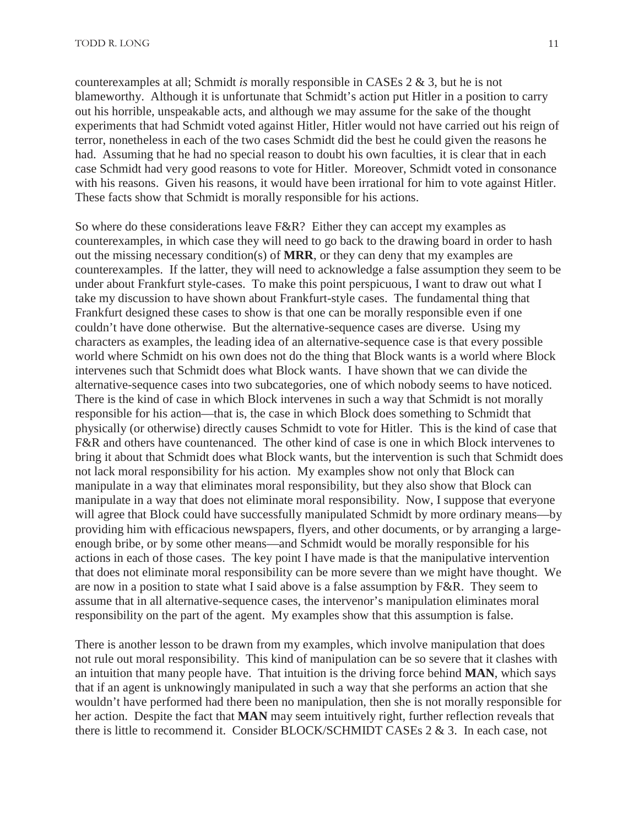with his reasons. Given his reasons, it would have been irrational for him to vote against Hitler. counterexamples at all; Schmidt *is* morally responsible in CASEs 2 & 3, but he is not blameworthy. Although it is unfortunate that Schmidt's action put Hitler in a position to carry out his horrible, unspeakable acts, and although we may assume for the sake of the thought experiments that had Schmidt voted against Hitler, Hitler would not have carried out his reign of terror, nonetheless in each of the two cases Schmidt did the best he could given the reasons he had. Assuming that he had no special reason to doubt his own faculties, it is clear that in each case Schmidt had very good reasons to vote for Hitler. Moreover, Schmidt voted in consonance These facts show that Schmidt is morally responsible for his actions.

 There is the kind of case in which Block intervenes in such a way that Schmidt is not morally manipulate in a way that does not eliminate moral responsibility. Now, I suppose that everyone actions in each of those cases. The key point I have made is that the manipulative intervention So where do these considerations leave F&R? Either they can accept my examples as counterexamples, in which case they will need to go back to the drawing board in order to hash out the missing necessary condition(s) of **MRR**, or they can deny that my examples are counterexamples. If the latter, they will need to acknowledge a false assumption they seem to be under about Frankfurt style-cases. To make this point perspicuous, I want to draw out what I take my discussion to have shown about Frankfurt-style cases. The fundamental thing that Frankfurt designed these cases to show is that one can be morally responsible even if one couldn't have done otherwise. But the alternative-sequence cases are diverse. Using my characters as examples, the leading idea of an alternative-sequence case is that every possible world where Schmidt on his own does not do the thing that Block wants is a world where Block intervenes such that Schmidt does what Block wants. I have shown that we can divide the alternative-sequence cases into two subcategories, one of which nobody seems to have noticed. responsible for his action—that is, the case in which Block does something to Schmidt that physically (or otherwise) directly causes Schmidt to vote for Hitler. This is the kind of case that F&R and others have countenanced. The other kind of case is one in which Block intervenes to bring it about that Schmidt does what Block wants, but the intervention is such that Schmidt does not lack moral responsibility for his action. My examples show not only that Block can manipulate in a way that eliminates moral responsibility, but they also show that Block can will agree that Block could have successfully manipulated Schmidt by more ordinary means—by providing him with efficacious newspapers, flyers, and other documents, or by arranging a largeenough bribe, or by some other means—and Schmidt would be morally responsible for his that does not eliminate moral responsibility can be more severe than we might have thought. We are now in a position to state what I said above is a false assumption by F&R. They seem to assume that in all alternative-sequence cases, the intervenor's manipulation eliminates moral responsibility on the part of the agent. My examples show that this assumption is false.

 there is little to recommend it. Consider BLOCK/SCHMIDT CASEs 2 & 3. In each case, not There is another lesson to be drawn from my examples, which involve manipulation that does not rule out moral responsibility. This kind of manipulation can be so severe that it clashes with an intuition that many people have. That intuition is the driving force behind **MAN**, which says that if an agent is unknowingly manipulated in such a way that she performs an action that she wouldn't have performed had there been no manipulation, then she is not morally responsible for her action. Despite the fact that **MAN** may seem intuitively right, further reflection reveals that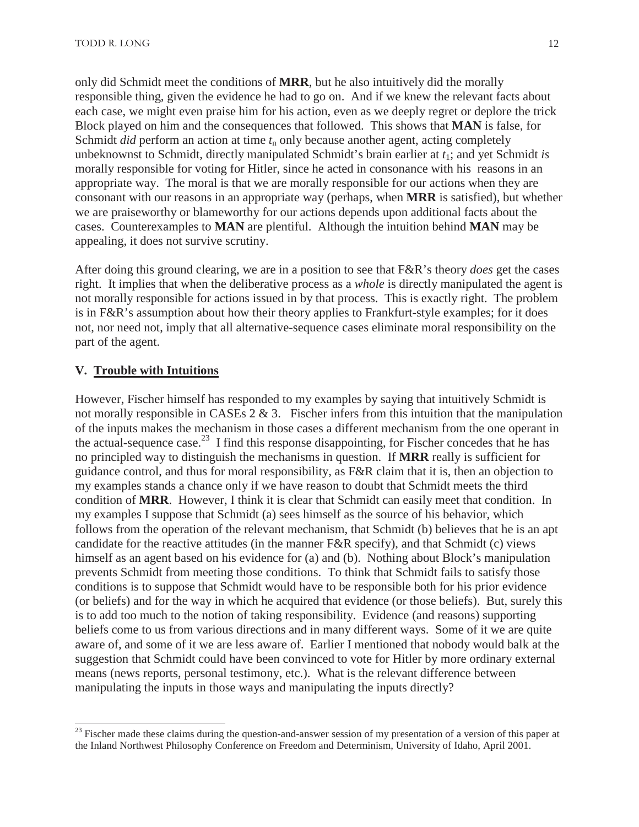Schmidt *did* perform an action at time  $t_n$  only because another agent, acting completely only did Schmidt meet the conditions of **MRR**, but he also intuitively did the morally responsible thing, given the evidence he had to go on. And if we knew the relevant facts about each case, we might even praise him for his action, even as we deeply regret or deplore the trick Block played on him and the consequences that followed. This shows that **MAN** is false, for unbeknownst to Schmidt, directly manipulated Schmidt's brain earlier at *t*1; and yet Schmidt *is*  morally responsible for voting for Hitler, since he acted in consonance with his reasons in an appropriate way. The moral is that we are morally responsible for our actions when they are consonant with our reasons in an appropriate way (perhaps, when **MRR** is satisfied), but whether we are praiseworthy or blameworthy for our actions depends upon additional facts about the cases. Counterexamples to **MAN** are plentiful. Although the intuition behind **MAN** may be appealing, it does not survive scrutiny.

After doing this ground clearing, we are in a position to see that F&R's theory *does* get the cases right. It implies that when the deliberative process as a *whole* is directly manipulated the agent is not morally responsible for actions issued in by that process. This is exactly right. The problem is in F&R's assumption about how their theory applies to Frankfurt-style examples; for it does not, nor need not, imply that all alternative-sequence cases eliminate moral responsibility on the part of the agent.

### **V. Trouble with Intuitions**

 $\overline{a}$ 

 means (news reports, personal testimony, etc.). What is the relevant difference between However, Fischer himself has responded to my examples by saying that intuitively Schmidt is not morally responsible in CASEs  $2 \& 3$ . Fischer infers from this intuition that the manipulation of the inputs makes the mechanism in those cases a different mechanism from the one operant in the actual-sequence case.<sup>23</sup> I find this response disappointing, for Fischer concedes that he has no principled way to distinguish the mechanisms in question. If **MRR** really is sufficient for guidance control, and thus for moral responsibility, as F&R claim that it is, then an objection to my examples stands a chance only if we have reason to doubt that Schmidt meets the third condition of **MRR**. However, I think it is clear that Schmidt can easily meet that condition. In my examples I suppose that Schmidt (a) sees himself as the source of his behavior, which follows from the operation of the relevant mechanism, that Schmidt (b) believes that he is an apt candidate for the reactive attitudes (in the manner F&R specify), and that Schmidt (c) views himself as an agent based on his evidence for (a) and (b). Nothing about Block's manipulation prevents Schmidt from meeting those conditions. To think that Schmidt fails to satisfy those conditions is to suppose that Schmidt would have to be responsible both for his prior evidence (or beliefs) and for the way in which he acquired that evidence (or those beliefs). But, surely this is to add too much to the notion of taking responsibility. Evidence (and reasons) supporting beliefs come to us from various directions and in many different ways. Some of it we are quite aware of, and some of it we are less aware of. Earlier I mentioned that nobody would balk at the suggestion that Schmidt could have been convinced to vote for Hitler by more ordinary external manipulating the inputs in those ways and manipulating the inputs directly?

 $^{23}$  Fischer made these claims during the question-and-answer session of my presentation of a version of this paper at the Inland Northwest Philosophy Conference on Freedom and Determinism, University of Idaho, April 2001.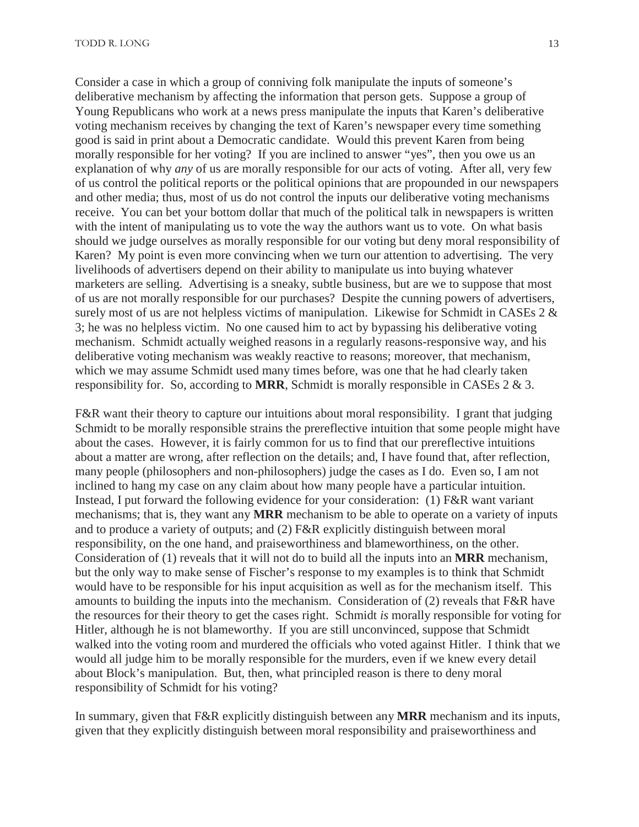morally responsible for her voting? If you are inclined to answer "yes", then you owe us an Consider a case in which a group of conniving folk manipulate the inputs of someone's deliberative mechanism by affecting the information that person gets. Suppose a group of Young Republicans who work at a news press manipulate the inputs that Karen's deliberative voting mechanism receives by changing the text of Karen's newspaper every time something good is said in print about a Democratic candidate. Would this prevent Karen from being explanation of why *any* of us are morally responsible for our acts of voting. After all, very few of us control the political reports or the political opinions that are propounded in our newspapers and other media; thus, most of us do not control the inputs our deliberative voting mechanisms receive. You can bet your bottom dollar that much of the political talk in newspapers is written with the intent of manipulating us to vote the way the authors want us to vote. On what basis should we judge ourselves as morally responsible for our voting but deny moral responsibility of Karen? My point is even more convincing when we turn our attention to advertising. The very livelihoods of advertisers depend on their ability to manipulate us into buying whatever marketers are selling. Advertising is a sneaky, subtle business, but are we to suppose that most of us are not morally responsible for our purchases? Despite the cunning powers of advertisers, surely most of us are not helpless victims of manipulation. Likewise for Schmidt in CASEs  $2 \&$ 3; he was no helpless victim. No one caused him to act by bypassing his deliberative voting mechanism. Schmidt actually weighed reasons in a regularly reasons-responsive way, and his deliberative voting mechanism was weakly reactive to reasons; moreover, that mechanism, which we may assume Schmidt used many times before, was one that he had clearly taken responsibility for. So, according to **MRR**, Schmidt is morally responsible in CASEs 2 & 3.

F&R want their theory to capture our intuitions about moral responsibility. I grant that judging inclined to hang my case on any claim about how many people have a particular intuition. Hitler, although he is not blameworthy. If you are still unconvinced, suppose that Schmidt walked into the voting room and murdered the officials who voted against Hitler. I think that we Schmidt to be morally responsible strains the prereflective intuition that some people might have about the cases. However, it is fairly common for us to find that our prereflective intuitions about a matter are wrong, after reflection on the details; and, I have found that, after reflection, many people (philosophers and non-philosophers) judge the cases as I do. Even so, I am not Instead, I put forward the following evidence for your consideration: (1) F&R want variant mechanisms; that is, they want any **MRR** mechanism to be able to operate on a variety of inputs and to produce a variety of outputs; and (2) F&R explicitly distinguish between moral responsibility, on the one hand, and praiseworthiness and blameworthiness, on the other. Consideration of (1) reveals that it will not do to build all the inputs into an **MRR** mechanism, but the only way to make sense of Fischer's response to my examples is to think that Schmidt would have to be responsible for his input acquisition as well as for the mechanism itself. This amounts to building the inputs into the mechanism. Consideration of (2) reveals that F&R have the resources for their theory to get the cases right. Schmidt *is* morally responsible for voting for would all judge him to be morally responsible for the murders, even if we knew every detail about Block's manipulation. But, then, what principled reason is there to deny moral responsibility of Schmidt for his voting?

 given that they explicitly distinguish between moral responsibility and praiseworthiness and In summary, given that F&R explicitly distinguish between any **MRR** mechanism and its inputs,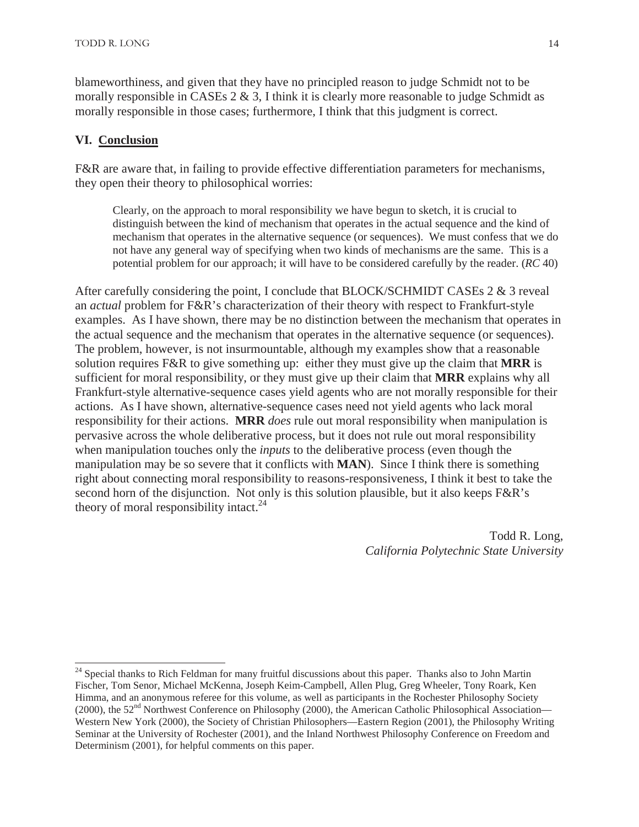blameworthiness, and given that they have no principled reason to judge Schmidt not to be morally responsible in CASEs  $2 \& 3$ , I think it is clearly more reasonable to judge Schmidt as morally responsible in those cases; furthermore, I think that this judgment is correct.

## **VI. Conclusion**

 $\overline{a}$ 

F&R are aware that, in failing to provide effective differentiation parameters for mechanisms, they open their theory to philosophical worries:

 Clearly, on the approach to moral responsibility we have begun to sketch, it is crucial to not have any general way of specifying when two kinds of mechanisms are the same. This is a potential problem for our approach; it will have to be considered carefully by the reader. (*RC* 40) distinguish between the kind of mechanism that operates in the actual sequence and the kind of mechanism that operates in the alternative sequence (or sequences). We must confess that we do

 solution requires F&R to give something up: either they must give up the claim that **MRR** is After carefully considering the point, I conclude that BLOCK/SCHMIDT CASEs 2 & 3 reveal an *actual* problem for F&R's characterization of their theory with respect to Frankfurt-style examples. As I have shown, there may be no distinction between the mechanism that operates in the actual sequence and the mechanism that operates in the alternative sequence (or sequences). The problem, however, is not insurmountable, although my examples show that a reasonable sufficient for moral responsibility, or they must give up their claim that **MRR** explains why all Frankfurt-style alternative-sequence cases yield agents who are not morally responsible for their actions. As I have shown, alternative-sequence cases need not yield agents who lack moral responsibility for their actions. **MRR** *does* rule out moral responsibility when manipulation is pervasive across the whole deliberative process, but it does not rule out moral responsibility when manipulation touches only the *inputs* to the deliberative process (even though the manipulation may be so severe that it conflicts with **MAN**). Since I think there is something right about connecting moral responsibility to reasons-responsiveness, I think it best to take the second horn of the disjunction. Not only is this solution plausible, but it also keeps F&R's theory of moral responsibility intact. $^{24}$ 

> Todd R. Long, *California Polytechnic State University*

 Fischer, Tom Senor, Michael McKenna, Joseph Keim-Campbell, Allen Plug, Greg Wheeler, Tony Roark, Ken Himma, and an anonymous referee for this volume, as well as participants in the Rochester Philosophy Society <sup>24</sup> Special thanks to Rich Feldman for many fruitful discussions about this paper. Thanks also to John Martin (2000), the  $52<sup>nd</sup>$  Northwest Conference on Philosophy (2000), the American Catholic Philosophical Association— Western New York (2000), the Society of Christian Philosophers—Eastern Region (2001), the Philosophy Writing Seminar at the University of Rochester (2001), and the Inland Northwest Philosophy Conference on Freedom and Determinism (2001), for helpful comments on this paper.